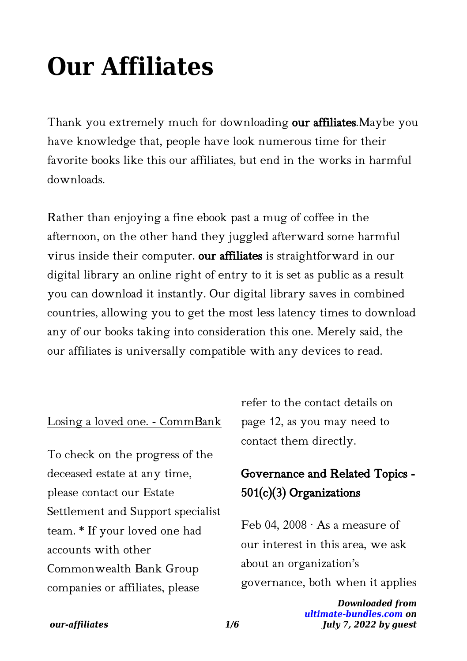# **Our Affiliates**

Thank you extremely much for downloading our affiliates. Maybe you have knowledge that, people have look numerous time for their favorite books like this our affiliates, but end in the works in harmful downloads.

Rather than enjoying a fine ebook past a mug of coffee in the afternoon, on the other hand they juggled afterward some harmful virus inside their computer. our affiliates is straightforward in our digital library an online right of entry to it is set as public as a result you can download it instantly. Our digital library saves in combined countries, allowing you to get the most less latency times to download any of our books taking into consideration this one. Merely said, the our affiliates is universally compatible with any devices to read.

#### Losing a loved one. - CommBank

To check on the progress of the deceased estate at any time, please contact our Estate Settlement and Support specialist team. \* If your loved one had accounts with other Commonwealth Bank Group companies or affiliates, please

refer to the contact details on page 12, as you may need to contact them directly.

# Governance and Related Topics - 501(c)(3) Organizations

Feb 04, 2008  $\cdot$  As a measure of our interest in this area, we ask about an organization's governance, both when it applies

> *Downloaded from [ultimate-bundles.com](https://ultimate-bundles.com) on July 7, 2022 by guest*

#### *our-affiliates 1/6*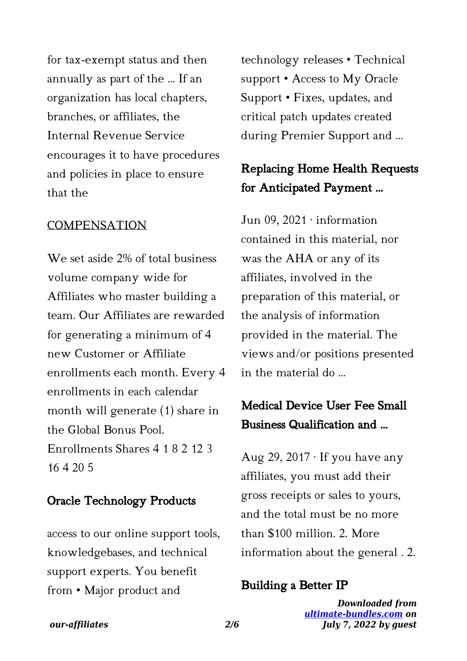for tax-exempt status and then annually as part of the ... If an organization has local chapters, branches, or affiliates, the Internal Revenue Service encourages it to have procedures and policies in place to ensure that the

#### **COMPENSATION**

We set aside 2% of total business volume company wide for Affiliates who master building a team. Our Affiliates are rewarded for generating a minimum of 4 new Customer or Affiliate enrollments each month. Every 4 enrollments in each calendar month will generate (1) share in the Global Bonus Pool. Enrollments Shares 4 1 8 2 12 3 16 4 20 5

#### Oracle Technology Products

access to our online support tools, knowledgebases, and technical support experts. You benefit from • Major product and

technology releases • Technical support • Access to My Oracle Support • Fixes, updates, and critical patch updates created during Premier Support and …

# Replacing Home Health Requests for Anticipated Payment …

Jun 09, 2021 · information contained in this material, nor was the AHA or any of its affiliates, involved in the preparation of this material, or the analysis of information provided in the material. The views and/or positions presented in the material do …

### Medical Device User Fee Small Business Qualification and …

Aug 29, 2017  $\cdot$  If you have any affiliates, you must add their gross receipts or sales to yours, and the total must be no more than \$100 million. 2. More information about the general . 2.

#### Building a Better IP

*Downloaded from [ultimate-bundles.com](https://ultimate-bundles.com) on July 7, 2022 by guest*

#### *our-affiliates 2/6*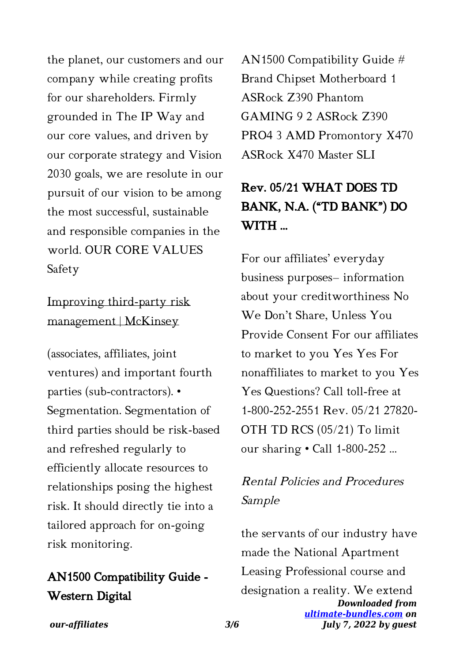the planet, our customers and our company while creating profits for our shareholders. Firmly grounded in The IP Way and our core values, and driven by our corporate strategy and Vision 2030 goals, we are resolute in our pursuit of our vision to be among the most successful, sustainable and responsible companies in the world. OUR CORE VALUES Safety

## Improving third-party risk management | McKinsey

(associates, affiliates, joint ventures) and important fourth parties (sub-contractors). • Segmentation. Segmentation of third parties should be risk-based and refreshed regularly to efficiently allocate resources to relationships posing the highest risk. It should directly tie into a tailored approach for on-going risk monitoring.

# AN1500 Compatibility Guide - Western Digital

AN1500 Compatibility Guide # Brand Chipset Motherboard 1 ASRock Z390 Phantom GAMING 9 2 ASRock Z390 PRO4 3 AMD Promontory X470 ASRock X470 Master SLI

# Rev. 05/21 WHAT DOES TD BANK, N.A. ("TD BANK") DO WITH …

For our affiliates' everyday business purposes– information about your creditworthiness No We Don't Share, Unless You Provide Consent For our affiliates to market to you Yes Yes For nonaffiliates to market to you Yes Yes Questions? Call toll-free at 1-800-252-2551 Rev. 05/21 27820- OTH TD RCS (05/21) To limit our sharing • Call 1-800-252 ...

# Rental Policies and Procedures Sample

*Downloaded from [ultimate-bundles.com](https://ultimate-bundles.com) on July 7, 2022 by guest* the servants of our industry have made the National Apartment Leasing Professional course and designation a reality. We extend

*our-affiliates 3/6*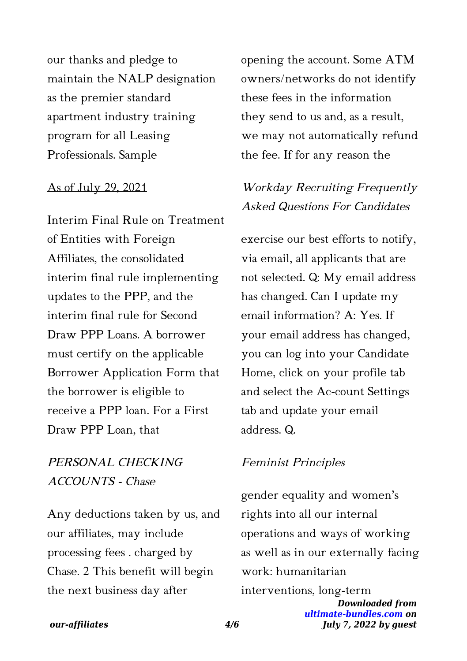our thanks and pledge to maintain the NALP designation as the premier standard apartment industry training program for all Leasing Professionals. Sample

#### As of July 29, 2021

Interim Final Rule on Treatment of Entities with Foreign Affiliates, the consolidated interim final rule implementing updates to the PPP, and the interim final rule for Second Draw PPP Loans. A borrower must certify on the applicable Borrower Application Form that the borrower is eligible to receive a PPP loan. For a First Draw PPP Loan, that

### PERSONAL CHECKING ACCOUNTS - Chase

Any deductions taken by us, and our affiliates, may include processing fees . charged by Chase. 2 This benefit will begin the next business day after

opening the account. Some ATM owners/networks do not identify these fees in the information they send to us and, as a result, we may not automatically refund the fee. If for any reason the

# Workday Recruiting Frequently Asked Questions For Candidates

exercise our best efforts to notify, via email, all applicants that are not selected. Q: My email address has changed. Can I update my email information? A: Yes. If your email address has changed, you can log into your Candidate Home, click on your profile tab and select the Ac-count Settings tab and update your email address. Q.

#### Feminist Principles

*Downloaded from* gender equality and women's rights into all our internal operations and ways of working as well as in our externally facing work: humanitarian interventions, long-term

*[ultimate-bundles.com](https://ultimate-bundles.com) on July 7, 2022 by guest*

#### *our-affiliates 4/6*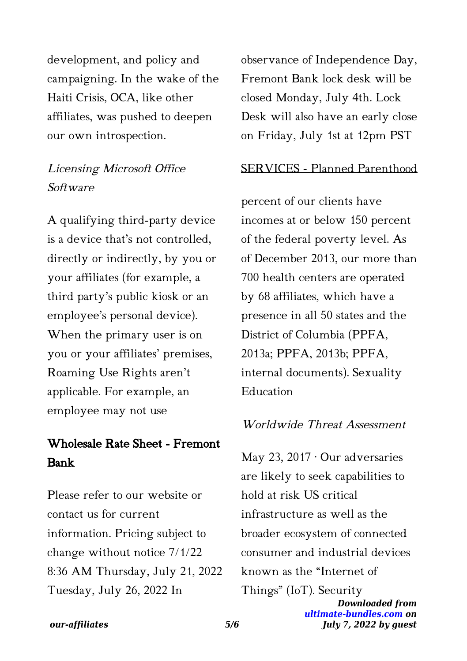development, and policy and campaigning. In the wake of the Haiti Crisis, OCA, like other affiliates, was pushed to deepen our own introspection.

### Licensing Microsoft Office Software

A qualifying third-party device is a device that's not controlled, directly or indirectly, by you or your affiliates (for example, a third party's public kiosk or an employee's personal device). When the primary user is on you or your affiliates' premises, Roaming Use Rights aren't applicable. For example, an employee may not use

# Wholesale Rate Sheet - Fremont Bank

Please refer to our website or contact us for current information. Pricing subject to change without notice 7/1/22 8:36 AM Thursday, July 21, 2022 Tuesday, July 26, 2022 In

observance of Independence Day, Fremont Bank lock desk will be closed Monday, July 4th. Lock Desk will also have an early close on Friday, July 1st at 12pm PST

#### SERVICES - Planned Parenthood

percent of our clients have incomes at or below 150 percent of the federal poverty level. As of December 2013, our more than 700 health centers are operated by 68 affiliates, which have a presence in all 50 states and the District of Columbia (PPFA, 2013a; PPFA, 2013b; PPFA, internal documents). Sexuality Education

#### Worldwide Threat Assessment

*Downloaded from* May 23, 2017 · Our adversaries are likely to seek capabilities to hold at risk US critical infrastructure as well as the broader ecosystem of connected consumer and industrial devices known as the "Internet of Things" (IoT). Security

*[ultimate-bundles.com](https://ultimate-bundles.com) on July 7, 2022 by guest*

#### *our-affiliates 5/6*